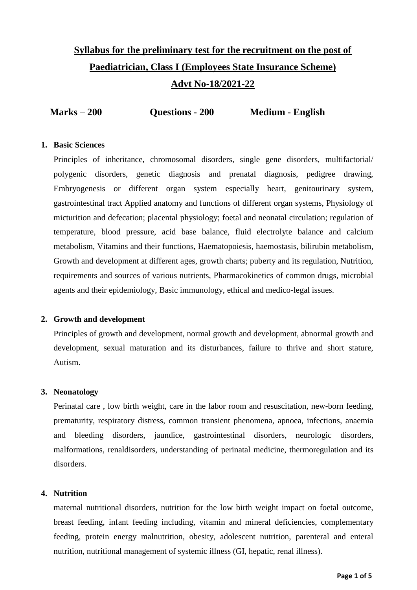# **Syllabus for the preliminary test for the recruitment on the post of Paediatrician, Class I (Employees State Insurance Scheme) Advt No-18/2021-22**

|  | $Marks - 200$ | Questions - 200 | <b>Medium - English</b> |
|--|---------------|-----------------|-------------------------|
|--|---------------|-----------------|-------------------------|

## **1. Basic Sciences**

Principles of inheritance, chromosomal disorders, single gene disorders, multifactorial/ polygenic disorders, genetic diagnosis and prenatal diagnosis, pedigree drawing, Embryogenesis or different organ system especially heart, genitourinary system, gastrointestinal tract Applied anatomy and functions of different organ systems, Physiology of micturition and defecation; placental physiology; foetal and neonatal circulation; regulation of temperature, blood pressure, acid base balance, fluid electrolyte balance and calcium metabolism, Vitamins and their functions, Haematopoiesis, haemostasis, bilirubin metabolism, Growth and development at different ages, growth charts; puberty and its regulation, Nutrition, requirements and sources of various nutrients, Pharmacokinetics of common drugs, microbial agents and their epidemiology, Basic immunology, ethical and medico-legal issues.

## **2. Growth and development**

Principles of growth and development, normal growth and development, abnormal growth and development, sexual maturation and its disturbances, failure to thrive and short stature, Autism.

## **3. Neonatology**

Perinatal care , low birth weight, care in the labor room and resuscitation, new-born feeding, prematurity, respiratory distress, common transient phenomena, apnoea, infections, anaemia and bleeding disorders, jaundice, gastrointestinal disorders, neurologic disorders, malformations, renaldisorders, understanding of perinatal medicine, thermoregulation and its disorders.

## **4. Nutrition**

maternal nutritional disorders, nutrition for the low birth weight impact on foetal outcome, breast feeding, infant feeding including, vitamin and mineral deficiencies, complementary feeding, protein energy malnutrition, obesity, adolescent nutrition, parenteral and enteral nutrition, nutritional management of systemic illness (GI, hepatic, renal illness).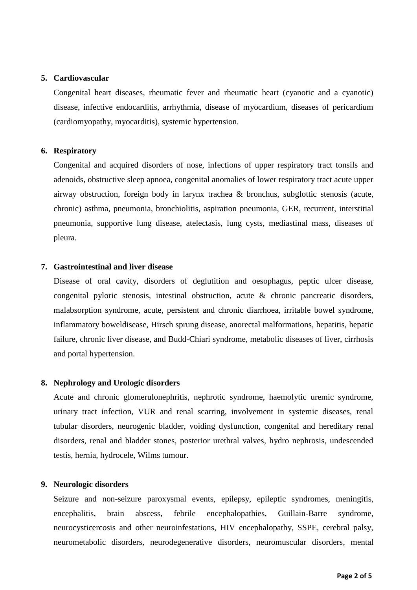## **5. Cardiovascular**

Congenital heart diseases, rheumatic fever and rheumatic heart (cyanotic and a cyanotic) disease, infective endocarditis, arrhythmia, disease of myocardium, diseases of pericardium (cardiomyopathy, myocarditis), systemic hypertension.

## **6. Respiratory**

Congenital and acquired disorders of nose, infections of upper respiratory tract tonsils and adenoids, obstructive sleep apnoea, congenital anomalies of lower respiratory tract acute upper airway obstruction, foreign body in larynx trachea & bronchus, subglottic stenosis (acute, chronic) asthma, pneumonia, bronchiolitis, aspiration pneumonia, GER, recurrent, interstitial pneumonia, supportive lung disease, atelectasis, lung cysts, mediastinal mass, diseases of pleura.

## **7. Gastrointestinal and liver disease**

Disease of oral cavity, disorders of deglutition and oesophagus, peptic ulcer disease, congenital pyloric stenosis, intestinal obstruction, acute & chronic pancreatic disorders, malabsorption syndrome, acute, persistent and chronic diarrhoea, irritable bowel syndrome, inflammatory boweldisease, Hirsch sprung disease, anorectal malformations, hepatitis, hepatic failure, chronic liver disease, and Budd-Chiari syndrome, metabolic diseases of liver, cirrhosis and portal hypertension.

## **8. Nephrology and Urologic disorders**

Acute and chronic glomerulonephritis, nephrotic syndrome, haemolytic uremic syndrome, urinary tract infection, VUR and renal scarring, involvement in systemic diseases, renal tubular disorders, neurogenic bladder, voiding dysfunction, congenital and hereditary renal disorders, renal and bladder stones, posterior urethral valves, hydro nephrosis, undescended testis, hernia, hydrocele, Wilms tumour.

#### **9. Neurologic disorders**

Seizure and non-seizure paroxysmal events, epilepsy, epileptic syndromes, meningitis, encephalitis, brain abscess, febrile encephalopathies, Guillain-Barre syndrome, neurocysticercosis and other neuroinfestations, HIV encephalopathy, SSPE, cerebral palsy, neurometabolic disorders, neurodegenerative disorders, neuromuscular disorders, mental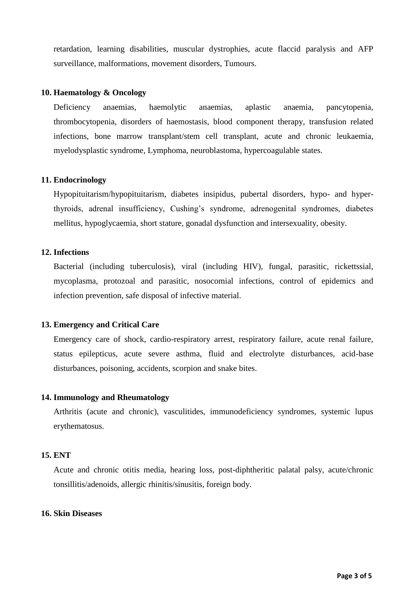retardation, learning disabilities, muscular dystrophies, acute flaccid paralysis and AFP surveillance, malformations, movement disorders, Tumours.

#### **10. Haematology & Oncology**

Deficiency anaemias, haemolytic anaemias, aplastic anaemia, pancytopenia, thrombocytopenia, disorders of haemostasis, blood component therapy, transfusion related infections, bone marrow transplant/stem cell transplant, acute and chronic leukaemia, myelodysplastic syndrome, Lymphoma, neuroblastoma, hypercoagulable states.

## **11. Endocrinology**

Hypopituitarism/hypopituitarism, diabetes insipidus, pubertal disorders, hypo- and hyperthyroids, adrenal insufficiency, Cushing's syndrome, adrenogenital syndromes, diabetes mellitus, hypoglycaemia, short stature, gonadal dysfunction and intersexuality, obesity.

## **12. Infections**

Bacterial (including tuberculosis), viral (including HIV), fungal, parasitic, rickettssial, mycoplasma, protozoal and parasitic, nosocomial infections, control of epidemics and infection prevention, safe disposal of infective material.

## **13. Emergency and Critical Care**

Emergency care of shock, cardio-respiratory arrest, respiratory failure, acute renal failure, status epilepticus, acute severe asthma, fluid and electrolyte disturbances, acid-base disturbances, poisoning, accidents, scorpion and snake bites.

#### **14. Immunology and Rheumatology**

Arthritis (acute and chronic), vasculitides, immunodeficiency syndromes, systemic lupus erythematosus.

#### **15. ENT**

Acute and chronic otitis media, hearing loss, post-diphtheritic palatal palsy, acute/chronic tonsillitis/adenoids, allergic rhinitis/sinusitis, foreign body.

#### **16. Skin Diseases**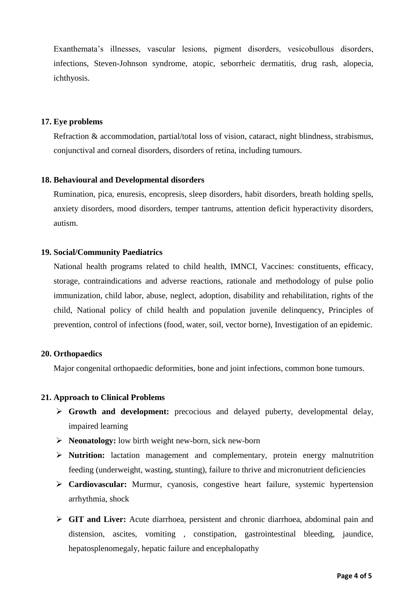Exanthemata's illnesses, vascular lesions, pigment disorders, vesicobullous disorders, infections, Steven-Johnson syndrome, atopic, seborrheic dermatitis, drug rash, alopecia, ichthyosis.

## **17. Eye problems**

Refraction & accommodation, partial/total loss of vision, cataract, night blindness, strabismus, conjunctival and corneal disorders, disorders of retina, including tumours.

## **18. Behavioural and Developmental disorders**

Rumination, pica, enuresis, encopresis, sleep disorders, habit disorders, breath holding spells, anxiety disorders, mood disorders, temper tantrums, attention deficit hyperactivity disorders, autism.

## **19. Social/Community Paediatrics**

National health programs related to child health, IMNCI, Vaccines: constituents, efficacy, storage, contraindications and adverse reactions, rationale and methodology of pulse polio immunization, child labor, abuse, neglect, adoption, disability and rehabilitation, rights of the child, National policy of child health and population juvenile delinquency, Principles of prevention, control of infections (food, water, soil, vector borne), Investigation of an epidemic.

#### **20. Orthopaedics**

Major congenital orthopaedic deformities, bone and joint infections, common bone tumours.

#### **21. Approach to Clinical Problems**

- **Growth and development:** precocious and delayed puberty, developmental delay, impaired learning
- **Neonatology:** low birth weight new-born, sick new-born
- **Nutrition:** lactation management and complementary, protein energy malnutrition feeding (underweight, wasting, stunting), failure to thrive and micronutrient deficiencies
- **Cardiovascular:** Murmur, cyanosis, congestive heart failure, systemic hypertension arrhythmia, shock
- **GIT and Liver:** Acute diarrhoea, persistent and chronic diarrhoea, abdominal pain and distension, ascites, vomiting , constipation, gastrointestinal bleeding, jaundice, hepatosplenomegaly, hepatic failure and encephalopathy